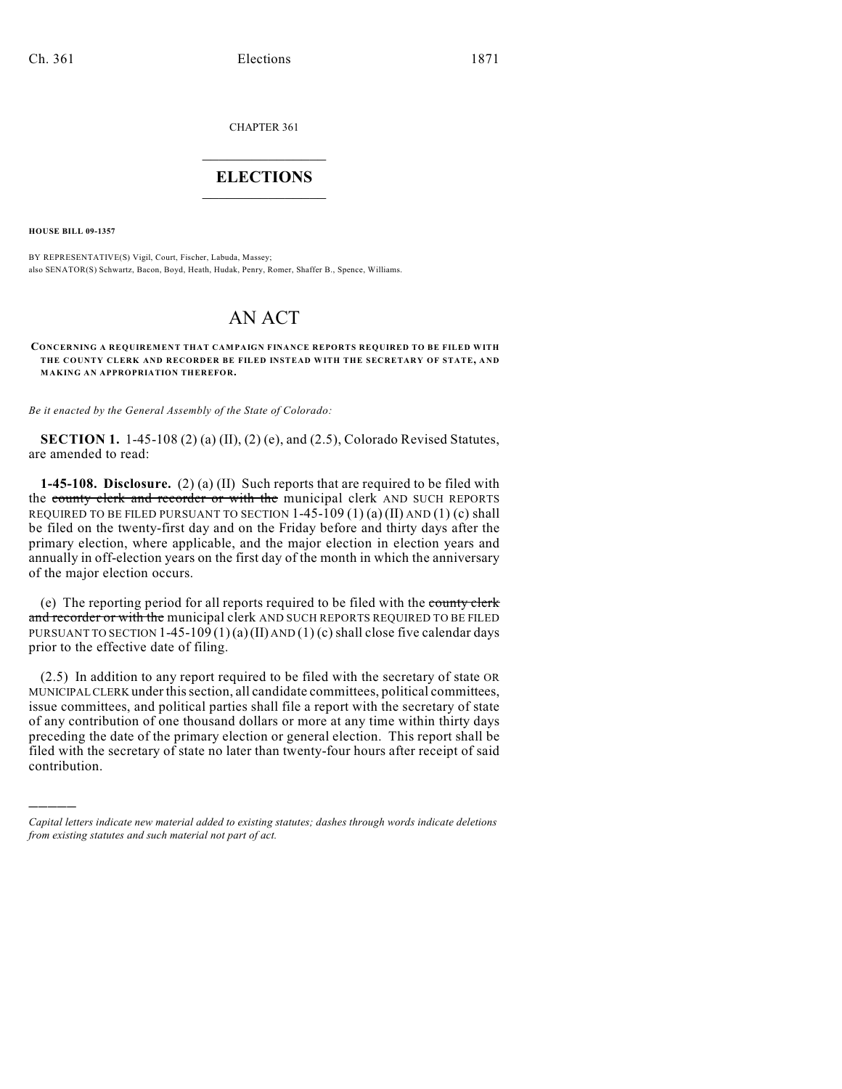CHAPTER 361

## $\mathcal{L}_\text{max}$  . The set of the set of the set of the set of the set of the set of the set of the set of the set of the set of the set of the set of the set of the set of the set of the set of the set of the set of the set **ELECTIONS**  $\_$

**HOUSE BILL 09-1357**

)))))

BY REPRESENTATIVE(S) Vigil, Court, Fischer, Labuda, Massey; also SENATOR(S) Schwartz, Bacon, Boyd, Heath, Hudak, Penry, Romer, Shaffer B., Spence, Williams.

## AN ACT

## **CONCERNING A REQUIREMENT THAT CAMPAIGN FINANCE REPORTS REQUIRED TO BE FILED WITH THE COUNTY CLERK AND RECORDER BE FILED INSTEAD WITH THE SECRETARY OF STATE, AND MAKING AN APPROPRIATION THEREFOR.**

*Be it enacted by the General Assembly of the State of Colorado:*

**SECTION 1.** 1-45-108 (2) (a) (II), (2) (e), and (2.5), Colorado Revised Statutes, are amended to read:

**1-45-108. Disclosure.** (2) (a) (II) Such reports that are required to be filed with the county clerk and recorder or with the municipal clerk AND SUCH REPORTS REQUIRED TO BE FILED PURSUANT TO SECTION  $1-45-109(1)(a)(II)$  AND  $(1)(c)$  shall be filed on the twenty-first day and on the Friday before and thirty days after the primary election, where applicable, and the major election in election years and annually in off-election years on the first day of the month in which the anniversary of the major election occurs.

(e) The reporting period for all reports required to be filed with the county clerk and recorder or with the municipal clerk AND SUCH REPORTS REQUIRED TO BE FILED PURSUANT TO SECTION 1-45-109 (1)(a)(II) AND (1)(c) shall close five calendar days prior to the effective date of filing.

(2.5) In addition to any report required to be filed with the secretary of state OR MUNICIPAL CLERK under this section, all candidate committees, political committees, issue committees, and political parties shall file a report with the secretary of state of any contribution of one thousand dollars or more at any time within thirty days preceding the date of the primary election or general election. This report shall be filed with the secretary of state no later than twenty-four hours after receipt of said contribution.

*Capital letters indicate new material added to existing statutes; dashes through words indicate deletions from existing statutes and such material not part of act.*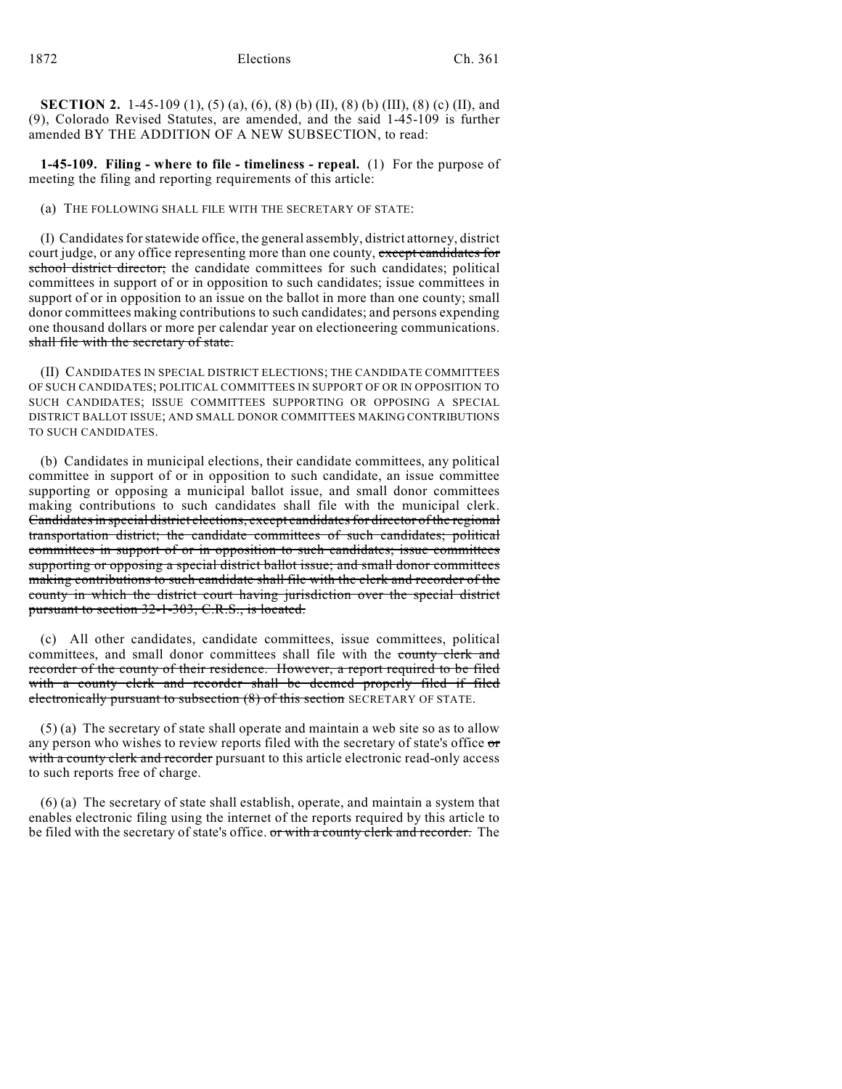**SECTION 2.** 1-45-109 (1), (5) (a), (6), (8) (b) (II), (8) (b) (III), (8) (c) (II), and (9), Colorado Revised Statutes, are amended, and the said 1-45-109 is further amended BY THE ADDITION OF A NEW SUBSECTION, to read:

**1-45-109. Filing - where to file - timeliness - repeal.** (1) For the purpose of meeting the filing and reporting requirements of this article:

## (a) THE FOLLOWING SHALL FILE WITH THE SECRETARY OF STATE:

(I) Candidates for statewide office, the general assembly, district attorney, district court judge, or any office representing more than one county, except candidates for school district director; the candidate committees for such candidates; political committees in support of or in opposition to such candidates; issue committees in support of or in opposition to an issue on the ballot in more than one county; small donor committees making contributions to such candidates; and persons expending one thousand dollars or more per calendar year on electioneering communications. shall file with the secretary of state.

(II) CANDIDATES IN SPECIAL DISTRICT ELECTIONS; THE CANDIDATE COMMITTEES OF SUCH CANDIDATES; POLITICAL COMMITTEES IN SUPPORT OF OR IN OPPOSITION TO SUCH CANDIDATES; ISSUE COMMITTEES SUPPORTING OR OPPOSING A SPECIAL DISTRICT BALLOT ISSUE; AND SMALL DONOR COMMITTEES MAKING CONTRIBUTIONS TO SUCH CANDIDATES.

(b) Candidates in municipal elections, their candidate committees, any political committee in support of or in opposition to such candidate, an issue committee supporting or opposing a municipal ballot issue, and small donor committees making contributions to such candidates shall file with the municipal clerk. Candidates in special district elections, except candidates for director of the regional transportation district; the candidate committees of such candidates; political committees in support of or in opposition to such candidates; issue committees supporting or opposing a special district ballot issue; and small donor committees making contributions to such candidate shall file with the clerk and recorder of the county in which the district court having jurisdiction over the special district pursuant to section 32-1-303, C.R.S., is located.

(c) All other candidates, candidate committees, issue committees, political committees, and small donor committees shall file with the county clerk and recorder of the county of their residence. However, a report required to be filed with a county clerk and recorder shall be deemed properly filed if filed electronically pursuant to subsection (8) of this section SECRETARY OF STATE.

(5) (a) The secretary of state shall operate and maintain a web site so as to allow any person who wishes to review reports filed with the secretary of state's office or with a county clerk and recorder pursuant to this article electronic read-only access to such reports free of charge.

(6) (a) The secretary of state shall establish, operate, and maintain a system that enables electronic filing using the internet of the reports required by this article to be filed with the secretary of state's office. or with a county clerk and recorder. The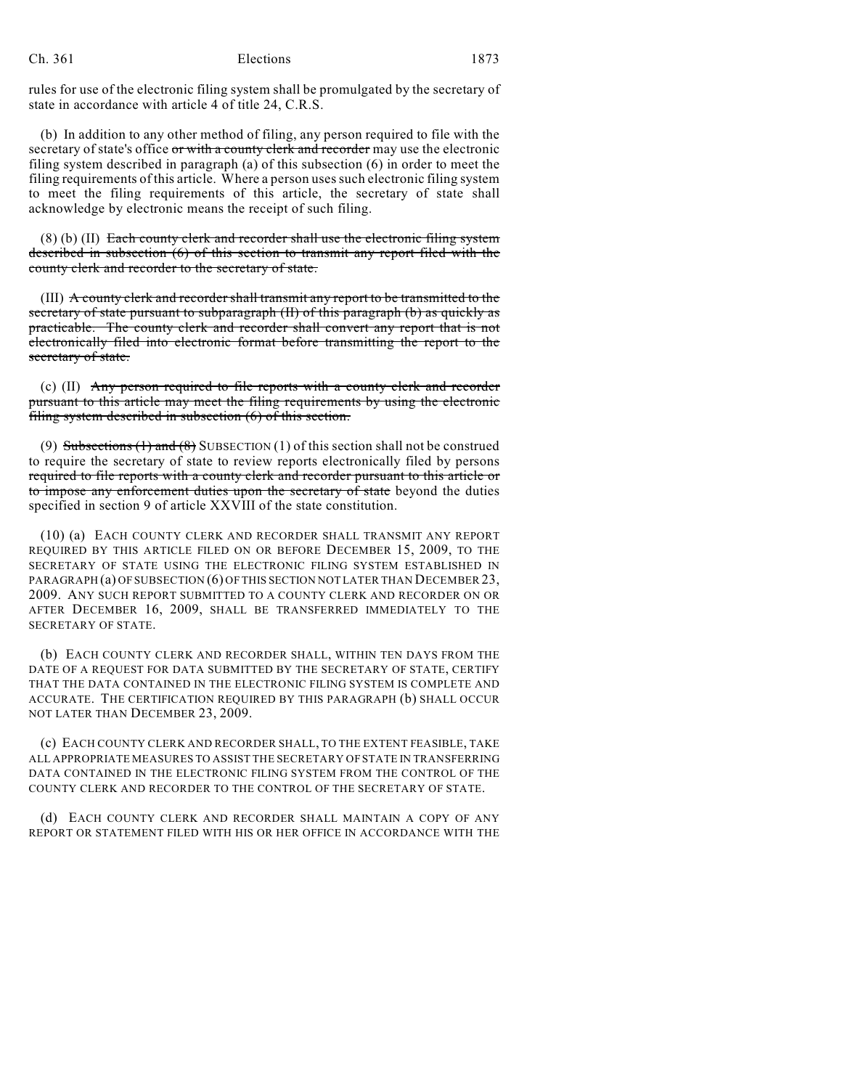rules for use of the electronic filing system shall be promulgated by the secretary of state in accordance with article 4 of title 24, C.R.S.

(b) In addition to any other method of filing, any person required to file with the secretary of state's office or with a county clerk and recorder may use the electronic filing system described in paragraph (a) of this subsection (6) in order to meet the filing requirements of this article. Where a person uses such electronic filing system to meet the filing requirements of this article, the secretary of state shall acknowledge by electronic means the receipt of such filing.

 $(8)$  (b) (II) Each county clerk and recorder shall use the electronic filing system described in subsection (6) of this section to transmit any report filed with the county clerk and recorder to the secretary of state.

(III) A county clerk and recorder shall transmit any report to be transmitted to the secretary of state pursuant to subparagraph (II) of this paragraph (b) as quickly as practicable. The county clerk and recorder shall convert any report that is not electronically filed into electronic format before transmitting the report to the secretary of state.

(c) (II) Any person required to file reports with a county clerk and recorder pursuant to this article may meet the filing requirements by using the electronic filing system described in subsection (6) of this section.

(9) Subsections (1) and (8) SUBSECTION (1) of this section shall not be construed to require the secretary of state to review reports electronically filed by persons required to file reports with a county clerk and recorder pursuant to this article or to impose any enforcement duties upon the secretary of state beyond the duties specified in section 9 of article XXVIII of the state constitution.

(10) (a) EACH COUNTY CLERK AND RECORDER SHALL TRANSMIT ANY REPORT REQUIRED BY THIS ARTICLE FILED ON OR BEFORE DECEMBER 15, 2009, TO THE SECRETARY OF STATE USING THE ELECTRONIC FILING SYSTEM ESTABLISHED IN PARAGRAPH (a) OF SUBSECTION (6) OF THIS SECTION NOT LATER THAN DECEMBER 23, 2009. ANY SUCH REPORT SUBMITTED TO A COUNTY CLERK AND RECORDER ON OR AFTER DECEMBER 16, 2009, SHALL BE TRANSFERRED IMMEDIATELY TO THE SECRETARY OF STATE.

(b) EACH COUNTY CLERK AND RECORDER SHALL, WITHIN TEN DAYS FROM THE DATE OF A REQUEST FOR DATA SUBMITTED BY THE SECRETARY OF STATE, CERTIFY THAT THE DATA CONTAINED IN THE ELECTRONIC FILING SYSTEM IS COMPLETE AND ACCURATE. THE CERTIFICATION REQUIRED BY THIS PARAGRAPH (b) SHALL OCCUR NOT LATER THAN DECEMBER 23, 2009.

(c) EACH COUNTY CLERK AND RECORDER SHALL, TO THE EXTENT FEASIBLE, TAKE ALL APPROPRIATE MEASURES TO ASSIST THE SECRETARY OF STATE IN TRANSFERRING DATA CONTAINED IN THE ELECTRONIC FILING SYSTEM FROM THE CONTROL OF THE COUNTY CLERK AND RECORDER TO THE CONTROL OF THE SECRETARY OF STATE.

(d) EACH COUNTY CLERK AND RECORDER SHALL MAINTAIN A COPY OF ANY REPORT OR STATEMENT FILED WITH HIS OR HER OFFICE IN ACCORDANCE WITH THE